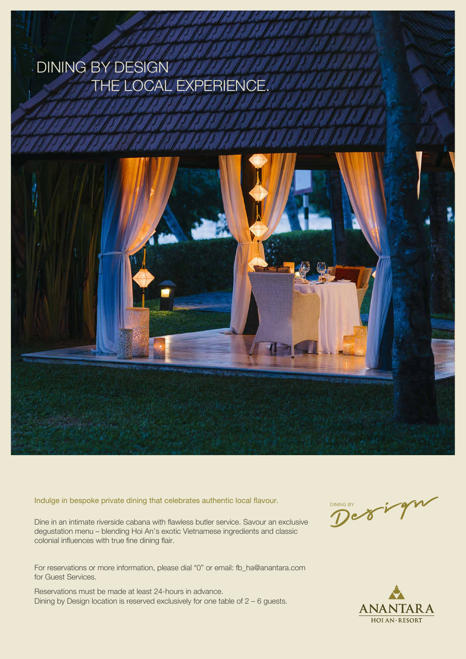Dine in an intimate riverside cabana with flawless butler service. Savour an exclusive degustation menu – blending Hoi An's exotic Vietnamese ingredients and classic colonial influences with true fine dining flair.

## DINING BY DESIGN THE LOCAL EXPE



For reservations or more information, please dial "0" or email: fb\_ha@anantara.com for Guest Services.

Reservations must be made at least 24-hours in advance. Dining by Design location is reserved exclusively for one table of 2 – 6 guests.





Indulge in bespoke private dining that celebrates authentic local flavour.